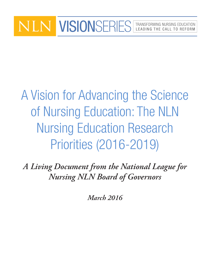## VISIONSERIES | TRANSFORMING NURSING EDUCATION LEADING THE CALL TO REFORM

A Vision for Advancing the Science of Nursing Education: The NLN Nursing Education Research Priorities (2016-2019)

*A Living Document from the National League for Nursing NLN Board of Governors*

*March 2016*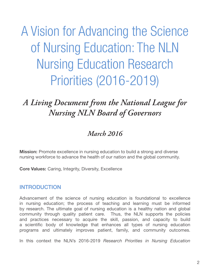A Vision for Advancing the Science of Nursing Education: The NLN Nursing Education Research Priorities (2016-2019)

# *A Living Document from the National League for Nursing NLN Board of Governors*

### *March 2016*

**Mission:** Promote excellence in nursing education to build a strong and diverse nursing workforce to advance the health of our nation and the global community.

Core Values: Caring, Integrity, Diversity, Excellence

#### INTRODUCTION

Advancement of the science of nursing education is foundational to excellence in nursing education; the process of teaching and learning must be informed by research. The ultimate goal of nursing education is a healthy nation and global community through quality patient care. Thus, the NLN supports the policies and practices necessary to acquire the skill, passion, and capacity to build a scientific body of knowledge that enhances all types of nursing education programs and ultimately improves patient, family, and community outcomes.

In this context the NLN's 2016-2019 *Research Priorities in Nursing Education*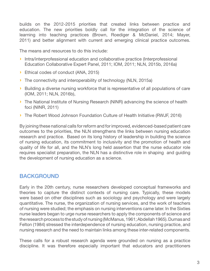builds on the 2012-2015 priorities that created links between practice and education. The new priorities boldly call for the integration of the science of learning into teaching practices (Brown, Roediger & McDaniel, 2014; Mayer, 2011) and better alignment with current and emerging clinical practice outcomes.

The means and resources to do this include:

- › Intra/interprofessional education and collaborative practice (Interprofessional Education Collaborative Expert Panel, 2011; IOM, 2011; NLN, 2015b, 2016a)
- › Ethical codes of conduct (ANA, 2015)
- › The connectivity and interoperability of technology (NLN, 2015a)
- › Building a diverse nursing workforce that is representative of all populations of care (IOM, 2011; NLN, 2016b),
- › The National Institute of Nursing Research (NINR) advancing the science of health foci (NINR, 2011)
- › The Robert Wood Johnson Foundation Culture of Health Initiative (RWJF, 2016)

By joining these national calls for reform and for improved, evidenced-based patient care outcomes to the priorities, the NLN strengthens the links between nursing education research and practice. Based on its long history of leadership in building the science of nursing education, its commitment to inclusivity and the promotion of health and quality of life for all, and the NLN's long held assertion that the nurse educator role requires specialist preparation, the NLN has a distinctive role in shaping and guiding the development of nursing education as a science.

#### **BACKGROUND**

Early in the 20th century, nurse researchers developed conceptual frameworks and theories to capture the distinct contexts of nursing care. Typically, these models were based on other disciplines such as sociology and psychology and were largely quantitative. The nurse, the organization of nursing services, and the work of teachers of nursing were studied; the emphasis on nursing interventions came later. In the Sixties nurse leaders began to urge nurse researchers to apply the components of science and the research process to the study of nursing (McManus, 1961; Abdellah 1965). Dumas and Felton (1984) stressed the interdependence of nursing education, nursing practice, and nursing research and the need to maintain links among these inter-related components.

These calls for a robust research agenda were grounded on nursing as a practice discipline. It was therefore especially important that educators and practitioners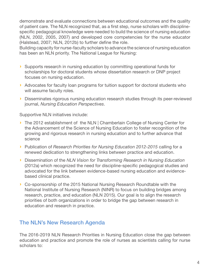demonstrate and evaluate connections between educational outcomes and the quality of patient care. The NLN recognized that, as a first step, nurse scholars with disciplinespecific pedagogical knowledge were needed to build the science of nursing education (NLN, 2002, 2005, 2007) and developed core competencies for the nurse educator (Halstead, 2007; NLN, 2012b) to further define the role.

Building capacity for nurse-faculty scholars to advance the science of nursing education has been an NLN priority. The National League for Nursing:

- › Supports research in nursing education by committing operational funds for scholarships for doctoral students whose dissertation research or DNP project focuses on nursing education.
- › Advocates for faculty loan programs for tuition support for doctoral students who will assume faculty roles.
- › Disseminates rigorous nursing education research studies through its peer-reviewed journal, *Nursing Education Perspectives*.

Supportive NLN initiatives include:

- › The 2012 establishment of the NLN | Chamberlain College of Nursing Center for the Advancement of the Science of Nursing Education to foster recognition of the growing and rigorous research in nursing education and to further advance that science
- › Publication of *Research Priorities for Nursing Education 2012-2015* calling for a renewed dedication to strengthening links between practice and education.
- › Dissemination of the *NLN Vision for Transforming Research in Nursing Education*  (2012a) which recognized the need for discipline-specific pedagogical studies and advocated for the link between evidence-based nursing education and evidencebased clinical practice.
- › Co-sponsorship of the 2015 National Nursing Research Roundtable with the National Institute of Nursing Research (NINR) to focus on building bridges among research, practice, and education (NLN 2015). Our goal is to align the research priorities of both organizations in order to bridge the gap between research in education and research in practice.

#### The NLN's New Research Agenda

The 2016-2019 NLN Research Priorities in Nursing Education close the gap between education and practice and promote the role of nurses as scientists calling for nurse scholars to: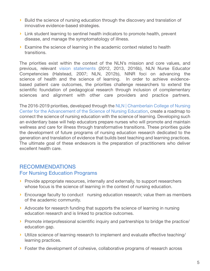- › Build the science of nursing education through the discovery and translation of innovative evidence-based strategies.
- › Link student learning to sentinel health indicators to promote health, prevent disease, and manage the symptomatology of illness.
- › Examine the science of learning in the academic context related to health transitions.

The priorities exist within the context of the NLN's mission and core values, and previous, relevant [vision statements](http://www.nln.org/about/position-statements/nln-living-documents) (2012, 2013, 2016b), NLN Nurse Educator Competencies (Halstead, 2007; NLN, 2012b), NINR foci on advancing the science of health and the science of learning. In order to achieve evidencebased patient care outcomes, the priorities challenge researchers to extend the scientific foundation of pedagogical research through inclusion of complementary sciences and alignment with other care providers and practice partners.

The 2016-2019 priorities, developed through the [NLN | Chamberlain College of Nursing](http://www.nln.org/centers-for-nursing-education/chamberlain)  [Center for the Advancement of the Science of Nursing Education](http://www.nln.org/centers-for-nursing-education/chamberlain), create a roadmap to connect the science of nursing education with the science of learning. Developing such an evidentiary base will help educators prepare nurses who will promote and maintain wellness and care for illness through transformative transitions. These priorities guide the development of future programs of nursing education research dedicated to the generation and translation of evidence that builds best teaching and learning practices. The ultimate goal of these endeavors is the preparation of practitioners who deliver excellent health care.

### RECOMMENDATIONS

#### For Nursing Education Programs

- › Provide appropriate resources, internally and externally, to support researchers whose focus is the science of learning in the context of nursing education.
- › Encourage faculty to conduct nursing education research; value them as members of the academic community.
- › Advocate for research funding that supports the science of learning in nursing education research and is linked to practice outcomes.
- › Promote interprofessional scientific inquiry and partnerships to bridge the practice/ education gap.
- › Utilize science of learning research to implement and evaluate effective teaching/ learning practices.
- › Foster the development of cohesive, collaborative programs of research across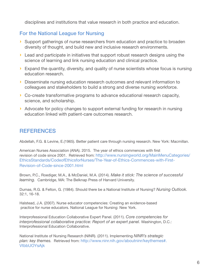disciplines and institutions that value research in both practice and education.

#### For the National League for Nursing

- › Support gatherings of nurse researchers from education and practice to broaden diversity of thought, and build new and inclusive research environments.
- › Lead and participate in initiatives that support robust research designs using the science of learning and link nursing education and clinical practice.
- › Expand the quantity, diversity, and quality of nurse scientists whose focus is nursing education research.
- › Disseminate nursing education research outcomes and relevant information to colleagues and stakeholders to build a strong and diverse nursing workforce.
- › Co-create transformative programs to advance educational research capacity, science, and scholarship.
- › Advocate for policy changes to support external funding for research in nursing education linked with patient-care outcomes research.

#### **REFERENCES**

Abdellah, F.G. & Levine, E.(1965). Better patient care through nursing research. New York: Macmillan.

American Nurses Association (ANA). 2015. The year of ethics commences with first revision of code since 2001. Retrieved from: [http://www.nursingworld.org/MainMenuCategories/](http://www.nursingworld.org/MainMenuCategories/EthicsStandards/CodeofEthicsforNurses/The-Year-of-Ethics-Commences-with-First-Revision-of-Code-since-2001.html
) [EthicsStandards/CodeofEthicsforNurses/The-Year-of-Ethics-Commences-with-First-](http://www.nursingworld.org/MainMenuCategories/EthicsStandards/CodeofEthicsforNurses/The-Year-of-Ethics-Commences-with-First-Revision-of-Code-since-2001.html
)[Revision-of-Code-since-2001.html](http://www.nursingworld.org/MainMenuCategories/EthicsStandards/CodeofEthicsforNurses/The-Year-of-Ethics-Commences-with-First-Revision-of-Code-since-2001.html
)

Brown, P.C., Roediger, M.A., & McDaniel, M.A. (2014). *Make it stick: The science of successful learning.* Cambridge, MA: The Belknap Press of Harvard University.

Dumas, R.G. & Felton, G. (1984). Should there be a National Institute of Nursing? *Nursing Outlook.*  32:1, 16-18.

Halstead, J.A. (2007). Nurse educator competencies: Creating an evidence-based practice for nurse educators. National League for Nursing: New York.

Interprofessional Education Collaborative Expert Panel. (2011). *Core competencies for interprofessional collaborative practice: Report of an expert panel.* Washington, D.C.: Interprofessional Education Collaborative.

National Institute of Nursing Research (NINR). (2011). Implementing *NINR's strategic plan: key themes.* Retrieved from: [http://www.ninr.nih.gov/aboutninr/keythemes#.](http://www.ninr.nih.gov/aboutninr/keythemes#.VtbbUOYsAjk) **VtbbUOYsAik**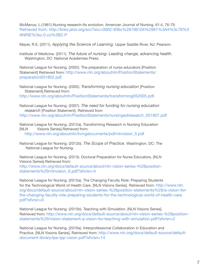McManus, L.(1961).Nursing research-Its evolution. American Journal of Nursing. 61:4, 76-79. Retrieved from: [http://links.jstor.org/sici?sici=0002-936x%28196104%2961%3A4%3c76%3](http://links.jstor.org/sici?sici=0002-936x%28196104%2961%3A4%3c76%3ANRIE%3ez.0.co%3B2-P) [ANRIE%3ez.0.co%3B2-P](http://links.jstor.org/sici?sici=0002-936x%28196104%2961%3A4%3c76%3ANRIE%3ez.0.co%3B2-P)

Mayer, R.E. (2011). *Applying the Science of Learning.* Upper Saddle River, NJ: Pearson.

Institute of Medicine. (2011). *The future of nursing: Leading change, advancing health.*  Washington, DC: National Academies Press.

National League for Nursing. (2002). The preparation of nurse educators [Position Statement] Retrieved from: h[ttp://www.nln.org/aboutnln/PositionStatements/](ttp://www.nln.org/aboutnln/PositionStatements/preparation051802.pdf) [preparation051802.pdf.](ttp://www.nln.org/aboutnln/PositionStatements/preparation051802.pdf)

National League for Nursing. (2005). *Transforming nursing education* [Position Statement].Retrieved from:

[http://www.nln.org/aboutnln/PositionStatements/transforming052005.pdf.](http://www.nln.org/aboutnln/PositionStatements/transforming052005.pdf)

National League for Nursing. (2007). *The need for funding for nursing education research* [Position Statement]. Retrieved from [http://www.nln.org/aboutnln/PositionStatements/nursingedresearch\\_051807.pdf](http://www.nln.org/aboutnln/PositionStatements/nursingedresearch_051807.pdf)

National League for Nursing. (2012a). Transforming Research in Nursing Education [NLN Visions Series].Retrieved from: [http://www.nln.org/aboutnln/livingdocuments/pdf/nlnvision\\_5.pdf](http://www.nln.org/aboutnln/livingdocuments/pdf/nlnvision_5.pdf)

National League for Nursing. (2012b). *The Scope of Practice.* Washington, DC: The National League for Nursing.

National League for Nursing. (2013). Doctoral Preparation for Nurse Educators. [NLN Visions Series].Retrieved from:

[http://www.nln.org/docs/default-source/about/nln-vision-series-%28position](http://www.nln.org/docs/default-source/about/nln-vision-series-%28position-statements%29/nlnvision_6.pdf?sfvrsn=4)statements%29/nlnvision 6.pdf?sfvrsn=4

National League for Nursing. (2015a). The Changing Faculty Role: Preparing Students for the Technological World of Health Care. [NLN Visions Series]. Retrieved from: [http://www.nln.](http://www.nln.org/docs/default-source/about/nln-vision-series-%28position-statements%29/a-vision-for-the-changing-faculty-role-preparing-students-for-the-technological-world-of-health-care.pdf?sfvrsn=0) [org/docs/default-source/about/nln-vision-series-%28position-statements%29/a-vision-for](http://www.nln.org/docs/default-source/about/nln-vision-series-%28position-statements%29/a-vision-for-the-changing-faculty-role-preparing-students-for-the-technological-world-of-health-care.pdf?sfvrsn=0)[the-changing-faculty-role-preparing-students-for-the-technological-world-of-health-care.](http://www.nln.org/docs/default-source/about/nln-vision-series-%28position-statements%29/a-vision-for-the-changing-faculty-role-preparing-students-for-the-technological-world-of-health-care.pdf?sfvrsn=0) [pdf?sfvrsn=0](http://www.nln.org/docs/default-source/about/nln-vision-series-%28position-statements%29/a-vision-for-the-changing-faculty-role-preparing-students-for-the-technological-world-of-health-care.pdf?sfvrsn=0)

National League for Nursing. (2015b). Teaching with Simulation. [NLN Visions Series]. Retrieved from: [http://www.nln.org/docs/default-source/about/nln-vision-series-%28position](http://www.nln.org/docs/default-source/about/nln-vision-series-%28position-statements%29/vision-statement-a-vision-for-teaching-with-simulation.pdf?sfvrsn=2
)[statements%29/vision-statement-a-vision-for-teaching-with-simulation.pdf?sfvrsn=2](http://www.nln.org/docs/default-source/about/nln-vision-series-%28position-statements%29/vision-statement-a-vision-for-teaching-with-simulation.pdf?sfvrsn=2
)

National League for Nursing. (2016a). Interprofessional Collaboration in Education and Practice. [NLN Visions Series]. Retrieved from: [http://www.nln.org/docs/default-source/default](http://www.nln.org/docs/default-source/default-document-library/ipe-ipp-vision.pdf?sfvrsn=14
)[document-library/ipe-ipp-vision.pdf?sfvrsn=14](http://www.nln.org/docs/default-source/default-document-library/ipe-ipp-vision.pdf?sfvrsn=14
)